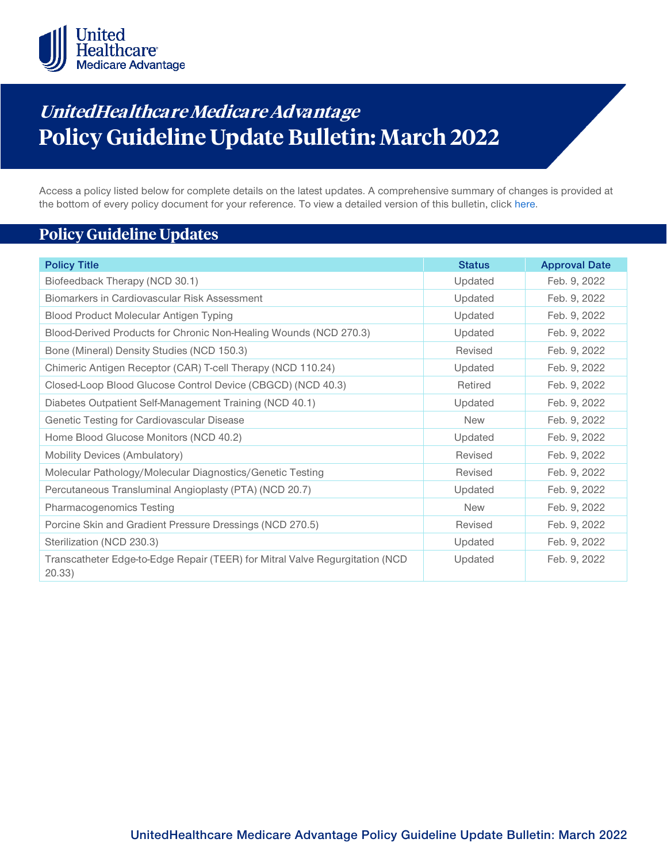

# **UnitedHealthca re Medicare Advantage Policy Guideline Update Bulletin: March 2022**

Access a policy listed below for complete details on the latest updates. A comprehensive summary of changes is provided at the bottom of every policy document for your reference. To view a detailed version of this bulletin, clic[k here.](https://www.uhcprovider.com/content/dam/provider/docs/public/policies/mpub-archives/mapg/medicare-advantage-policy-guideline-update-bulletin-march-2022-full.pdf)

# **Policy Guideline Updates**

| <b>Policy Title</b>                                                                    | <b>Status</b> | <b>Approval Date</b> |
|----------------------------------------------------------------------------------------|---------------|----------------------|
| Biofeedback Therapy (NCD 30.1)                                                         | Updated       | Feb. 9, 2022         |
| Biomarkers in Cardiovascular Risk Assessment                                           | Updated       | Feb. 9, 2022         |
| Blood Product Molecular Antigen Typing                                                 | Updated       | Feb. 9, 2022         |
| Blood-Derived Products for Chronic Non-Healing Wounds (NCD 270.3)                      | Updated       | Feb. 9, 2022         |
| Bone (Mineral) Density Studies (NCD 150.3)                                             | Revised       | Feb. 9, 2022         |
| Chimeric Antigen Receptor (CAR) T-cell Therapy (NCD 110.24)                            | Updated       | Feb. 9, 2022         |
| Closed-Loop Blood Glucose Control Device (CBGCD) (NCD 40.3)                            | Retired       | Feb. 9, 2022         |
| Diabetes Outpatient Self-Management Training (NCD 40.1)                                | Updated       | Feb. 9, 2022         |
| Genetic Testing for Cardiovascular Disease                                             | <b>New</b>    | Feb. 9, 2022         |
| Home Blood Glucose Monitors (NCD 40.2)                                                 | Updated       | Feb. 9, 2022         |
| Mobility Devices (Ambulatory)                                                          | Revised       | Feb. 9, 2022         |
| Molecular Pathology/Molecular Diagnostics/Genetic Testing                              | Revised       | Feb. 9, 2022         |
| Percutaneous Transluminal Angioplasty (PTA) (NCD 20.7)                                 | Updated       | Feb. 9, 2022         |
| Pharmacogenomics Testing                                                               | <b>New</b>    | Feb. 9, 2022         |
| Porcine Skin and Gradient Pressure Dressings (NCD 270.5)                               | Revised       | Feb. 9, 2022         |
| Sterilization (NCD 230.3)                                                              | Updated       | Feb. 9, 2022         |
| Transcatheter Edge-to-Edge Repair (TEER) for Mitral Valve Regurgitation (NCD<br>20.33) | Updated       | Feb. 9, 2022         |